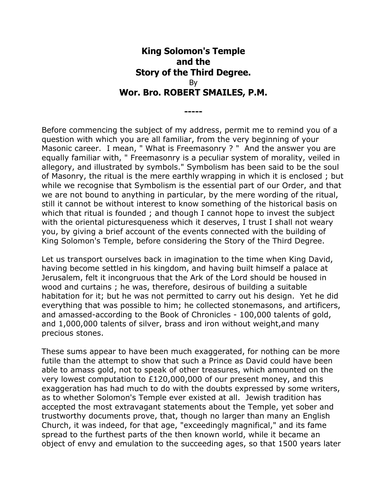## **King Solomon's Temple and the Story of the Third Degree.** By **Wor. Bro. ROBERT SMAILES, P.M.**

**-----**

Before commencing the subject of my address, permit me to remind you of a question with which you are all familiar, from the very beginning of your Masonic career. I mean, " What is Freemasonry ? " And the answer you are equally familiar with, " Freemasonry is a peculiar system of morality, veiled in allegory, and illustrated by symbols." Symbolism has been said to be the soul of Masonry, the ritual is the mere earthly wrapping in which it is enclosed ; but while we recognise that Symbolism is the essential part of our Order, and that we are not bound to anything in particular, by the mere wording of the ritual, still it cannot be without interest to know something of the historical basis on which that ritual is founded ; and though I cannot hope to invest the subject with the oriental picturesqueness which it deserves, I trust I shall not weary you, by giving a brief account of the events connected with the building of King Solomon's Temple, before considering the Story of the Third Degree.

Let us transport ourselves back in imagination to the time when King David, having become settled in his kingdom, and having built himself a palace at Jerusalem, felt it incongruous that the Ark of the Lord should be housed in wood and curtains ; he was, therefore, desirous of building a suitable habitation for it; but he was not permitted to carry out his design. Yet he did everything that was possible to him; he collected stonemasons, and artificers, and amassed-according to the Book of Chronicles - 100,000 talents of gold, and 1,000,000 talents of silver, brass and iron without weight,and many precious stones.

These sums appear to have been much exaggerated, for nothing can be more futile than the attempt to show that such a Prince as David could have been able to amass gold, not to speak of other treasures, which amounted on the very lowest computation to £120,000,000 of our present money, and this exaggeration has had much to do with the doubts expressed by some writers, as to whether Solomon's Temple ever existed at all. Jewish tradition has accepted the most extravagant statements about the Temple, yet sober and trustworthy documents prove, that, though no larger than many an English Church, it was indeed, for that age, "exceedingly magnifical," and its fame spread to the furthest parts of the then known world, while it became an object of envy and emulation to the succeeding ages, so that 1500 years later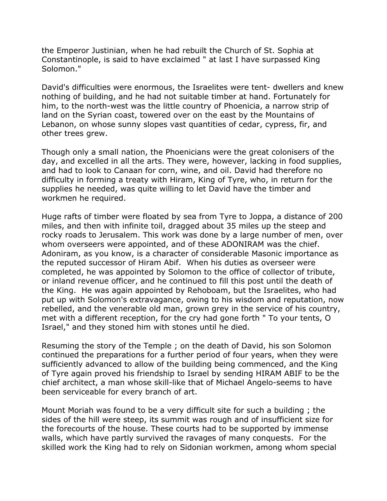the Emperor Justinian, when he had rebuilt the Church of St. Sophia at Constantinople, is said to have exclaimed " at last I have surpassed King Solomon."

David's difficulties were enormous, the Israelites were tent- dwellers and knew nothing of building, and he had not suitable timber at hand. Fortunately for him, to the north-west was the little country of Phoenicia, a narrow strip of land on the Syrian coast, towered over on the east by the Mountains of Lebanon, on whose sunny slopes vast quantities of cedar, cypress, fir, and other trees grew.

Though only a small nation, the Phoenicians were the great colonisers of the day, and excelled in all the arts. They were, however, lacking in food supplies, and had to look to Canaan for corn, wine, and oil. David had therefore no difficulty in forming a treaty with Hiram, King of Tyre, who, in return for the supplies he needed, was quite willing to let David have the timber and workmen he required.

Huge rafts of timber were floated by sea from Tyre to Joppa, a distance of 200 miles, and then with infinite toil, dragged about 35 miles up the steep and rocky roads to Jerusalem. This work was done by a large number of men, over whom overseers were appointed, and of these ADONIRAM was the chief. Adoniram, as you know, is a character of considerable Masonic importance as the reputed successor of Hiram Abif. When his duties as overseer were completed, he was appointed by Solomon to the office of collector of tribute, or inland revenue officer, and he continued to fill this post until the death of the King. He was again appointed by Rehoboam, but the Israelites, who had put up with Solomon's extravagance, owing to his wisdom and reputation, now rebelled, and the venerable old man, grown grey in the service of his country, met with a different reception, for the cry had gone forth " To your tents, O Israel," and they stoned him with stones until he died.

Resuming the story of the Temple ; on the death of David, his son Solomon continued the preparations for a further period of four years, when they were sufficiently advanced to allow of the building being commenced, and the King of Tyre again proved his friendship to Israel by sending HIRAM ABIF to be the chief architect, a man whose skill-like that of Michael Angelo-seems to have been serviceable for every branch of art.

Mount Moriah was found to be a very difficult site for such a building ; the sides of the hill were steep, its summit was rough and of insufficient size for the forecourts of the house. These courts had to be supported by immense walls, which have partly survived the ravages of many conquests. For the skilled work the King had to rely on Sidonian workmen, among whom special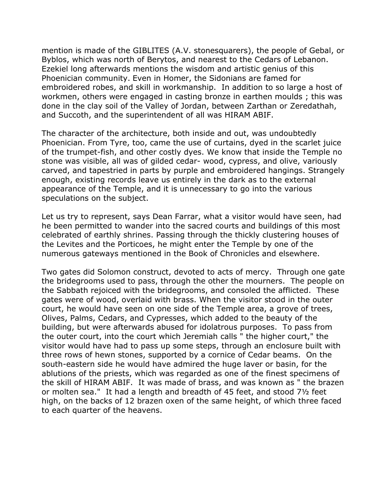mention is made of the GIBLITES (A.V. stonesquarers), the people of Gebal, or Byblos, which was north of Berytos, and nearest to the Cedars of Lebanon. Ezekiel long afterwards mentions the wisdom and artistic genius of this Phoenician community. Even in Homer, the Sidonians are famed for embroidered robes, and skill in workmanship. In addition to so large a host of workmen, others were engaged in casting bronze in earthen moulds ; this was done in the clay soil of the Valley of Jordan, between Zarthan or Zeredathah, and Succoth, and the superintendent of all was HIRAM ABIF.

The character of the architecture, both inside and out, was undoubtedly Phoenician. From Tyre, too, came the use of curtains, dyed in the scarlet juice of the trumpet-fish, and other costly dyes. We know that inside the Temple no stone was visible, all was of gilded cedar- wood, cypress, and olive, variously carved, and tapestried in parts by purple and embroidered hangings. Strangely enough, existing records leave us entirely in the dark as to the external appearance of the Temple, and it is unnecessary to go into the various speculations on the subject.

Let us try to represent, says Dean Farrar, what a visitor would have seen, had he been permitted to wander into the sacred courts and buildings of this most celebrated of earthly shrines. Passing through the thickly clustering houses of the Levites and the Porticoes, he might enter the Temple by one of the numerous gateways mentioned in the Book of Chronicles and elsewhere.

Two gates did Solomon construct, devoted to acts of mercy. Through one gate the bridegrooms used to pass, through the other the mourners. The people on the Sabbath rejoiced with the bridegrooms, and consoled the afflicted. These gates were of wood, overlaid with brass. When the visitor stood in the outer court, he would have seen on one side of the Temple area, a grove of trees, Olives, Palms, Cedars, and Cypresses, which added to the beauty of the building, but were afterwards abused for idolatrous purposes. To pass from the outer court, into the court which Jeremiah calls " the higher court," the visitor would have had to pass up some steps, through an enclosure built with three rows of hewn stones, supported by a cornice of Cedar beams. On the south-eastern side he would have admired the huge laver or basin, for the ablutions of the priests, which was regarded as one of the finest specimens of the skill of HIRAM ABIF. It was made of brass, and was known as " the brazen or molten sea." It had a length and breadth of 45 feet, and stood 7½ feet high, on the backs of 12 brazen oxen of the same height, of which three faced to each quarter of the heavens.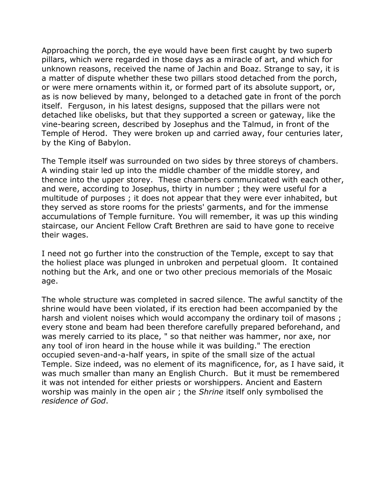Approaching the porch, the eye would have been first caught by two superb pillars, which were regarded in those days as a miracle of art, and which for unknown reasons, received the name of Jachin and Boaz. Strange to say, it is a matter of dispute whether these two pillars stood detached from the porch, or were mere ornaments within it, or formed part of its absolute support, or, as is now believed by many, belonged to a detached gate in front of the porch itself. Ferguson, in his latest designs, supposed that the pillars were not detached like obelisks, but that they supported a screen or gateway, like the vine-bearing screen, described by Josephus and the Talmud, in front of the Temple of Herod. They were broken up and carried away, four centuries later, by the King of Babylon.

The Temple itself was surrounded on two sides by three storeys of chambers. A winding stair led up into the middle chamber of the middle storey, and thence into the upper storey. These chambers communicated with each other, and were, according to Josephus, thirty in number ; they were useful for a multitude of purposes ; it does not appear that they were ever inhabited, but they served as store rooms for the priests' garments, and for the immense accumulations of Temple furniture. You will remember, it was up this winding staircase, our Ancient Fellow Craft Brethren are said to have gone to receive their wages.

I need not go further into the construction of the Temple, except to say that the holiest place was plunged in unbroken and perpetual gloom. It contained nothing but the Ark, and one or two other precious memorials of the Mosaic age.

The whole structure was completed in sacred silence. The awful sanctity of the shrine would have been violated, if its erection had been accompanied by the harsh and violent noises which would accompany the ordinary toil of masons ; every stone and beam had been therefore carefully prepared beforehand, and was merely carried to its place, " so that neither was hammer, nor axe, nor any tool of iron heard in the house while it was building." The erection occupied seven-and-a-half years, in spite of the small size of the actual Temple. Size indeed, was no element of its magnificence, for, as I have said, it was much smaller than many an English Church. But it must be remembered it was not intended for either priests or worshippers. Ancient and Eastern worship was mainly in the open air ; the *Shrine* itself only symbolised the *residence of God*.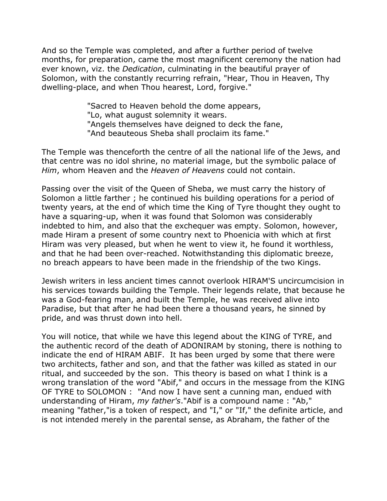And so the Temple was completed, and after a further period of twelve months, for preparation, came the most magnificent ceremony the nation had ever known, viz. the *Dedication*, culminating in the beautiful prayer of Solomon, with the constantly recurring refrain, "Hear, Thou in Heaven, Thy dwelling-place, and when Thou hearest, Lord, forgive."

> "Sacred to Heaven behold the dome appears, "Lo, what august solemnity it wears. "Angels themselves have deigned to deck the fane, "And beauteous Sheba shall proclaim its fame."

The Temple was thenceforth the centre of all the national life of the Jews, and that centre was no idol shrine, no material image, but the symbolic palace of *Him*, whom Heaven and the *Heaven of Heavens* could not contain.

Passing over the visit of the Queen of Sheba, we must carry the history of Solomon a little farther ; he continued his building operations for a period of twenty years, at the end of which time the King of Tyre thought they ought to have a squaring-up, when it was found that Solomon was considerably indebted to him, and also that the exchequer was empty. Solomon, however, made Hiram a present of some country next to Phoenicia with which at first Hiram was very pleased, but when he went to view it, he found it worthless, and that he had been over-reached. Notwithstanding this diplomatic breeze, no breach appears to have been made in the friendship of the two Kings.

Jewish writers in less ancient times cannot overlook HIRAM'S uncircumcision in his services towards building the Temple. Their legends relate, that because he was a God-fearing man, and built the Temple, he was received alive into Paradise, but that after he had been there a thousand years, he sinned by pride, and was thrust down into hell.

You will notice, that while we have this legend about the KING of TYRE, and the authentic record of the death of ADONIRAM by stoning, there is nothing to indicate the end of HIRAM ABIF. It has been urged by some that there were two architects, father and son, and that the father was killed as stated in our ritual, and succeeded by the son. This theory is based on what I think is a wrong translation of the word "Abif," and occurs in the message from the KING OF TYRE to SOLOMON : "And now I have sent a cunning man, endued with understanding of Hiram, *my father's*."Abif is a compound name : "Ab," meaning "father,"is a token of respect, and "I," or "If," the definite article, and is not intended merely in the parental sense, as Abraham, the father of the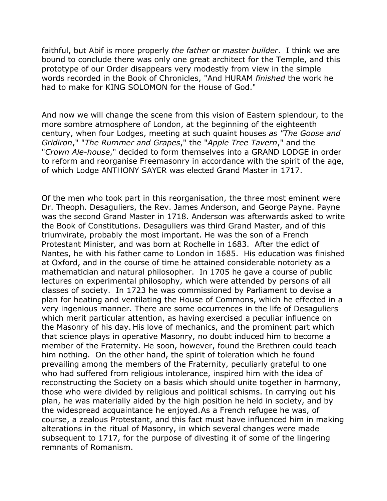faithful, but Abif is more properly *the father* or *master builder*. I think we are bound to conclude there was only one great architect for the Temple, and this prototype of our Order disappears very modestly from view in the simple words recorded in the Book of Chronicles, "And HURAM *finished* the work he had to make for KING SOLOMON for the House of God."

And now we will change the scene from this vision of Eastern splendour, to the more sombre atmosphere of London, at the beginning of the eighteenth century, when four Lodges, meeting at such quaint houses *as "The Goose and Gridiron*," "*The Rummer and Grapes*," the "*Apple Tree Tavern*," and the "*Crown Ale-house*," decided to form themselves into a GRAND LODGE in order to reform and reorganise Freemasonry in accordance with the spirit of the age, of which Lodge ANTHONY SAYER was elected Grand Master in 1717.

Of the men who took part in this reorganisation, the three most eminent were Dr. Theoph. Desaguliers, the Rev. James Anderson, and George Payne. Payne was the second Grand Master in 1718. Anderson was afterwards asked to write the Book of Constitutions. Desaguliers was third Grand Master, and of this triumvirate, probably the most important. He was the son of a French Protestant Minister, and was born at Rochelle in 1683. After the edict of Nantes, he with his father came to London in 1685. His education was finished at Oxford, and in the course of time he attained considerable notoriety as a mathematician and natural philosopher. In 1705 he gave a course of public lectures on experimental philosophy, which were attended by persons of all classes of society. In 1723 he was commissioned by Parliament to devise a plan for heating and ventilating the House of Commons, which he effected in a very ingenious manner. There are some occurrences in the life of Desaguliers which merit particular attention, as having exercised a peculiar influence on the Masonry of his day. His love of mechanics, and the prominent part which that science plays in operative Masonry, no doubt induced him to become a member of the Fraternity. He soon, however, found the Brethren could teach him nothing. On the other hand, the spirit of toleration which he found prevailing among the members of the Fraternity, peculiarly grateful to one who had suffered from religious intolerance, inspired him with the idea of reconstructing the Society on a basis which should unite together in harmony, those who were divided by religious and political schisms. In carrying out his plan, he was materially aided by the high position he held in society, and by the widespread acquaintance he enjoyed.As a French refugee he was, of course, a zealous Protestant, and this fact must have influenced him in making alterations in the ritual of Masonry, in which several changes were made subsequent to 1717, for the purpose of divesting it of some of the lingering remnants of Romanism.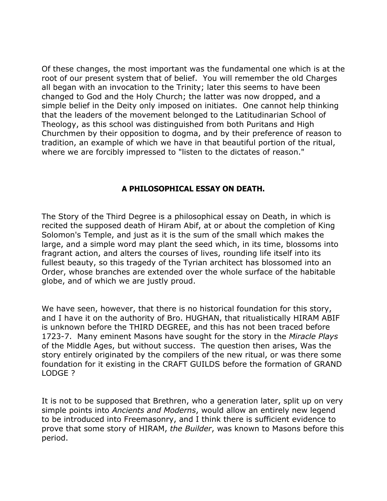Of these changes, the most important was the fundamental one which is at the root of our present system that of belief. You will remember the old Charges all began with an invocation to the Trinity; later this seems to have been changed to God and the Holy Church; the latter was now dropped, and a simple belief in the Deity only imposed on initiates. One cannot help thinking that the leaders of the movement belonged to the Latitudinarian School of Theology, as this school was distinguished from both Puritans and High Churchmen by their opposition to dogma, and by their preference of reason to tradition, an example of which we have in that beautiful portion of the ritual, where we are forcibly impressed to "listen to the dictates of reason."

## **A PHILOSOPHICAL ESSAY ON DEATH.**

The Story of the Third Degree is a philosophical essay on Death, in which is recited the supposed death of Hiram Abif, at or about the completion of King Solomon's Temple, and just as it is the sum of the small which makes the large, and a simple word may plant the seed which, in its time, blossoms into fragrant action, and alters the courses of lives, rounding life itself into its fullest beauty, so this tragedy of the Tyrian architect has blossomed into an Order, whose branches are extended over the whole surface of the habitable globe, and of which we are justly proud.

We have seen, however, that there is no historical foundation for this story, and I have it on the authority of Bro. HUGHAN, that ritualistically HIRAM ABIF is unknown before the THIRD DEGREE, and this has not been traced before 1723-7. Many eminent Masons have sought for the story in the *Miracle Plays* of the Middle Ages, but without success. The question then arises, Was the story entirely originated by the compilers of the new ritual, or was there some foundation for it existing in the CRAFT GUILDS before the formation of GRAND LODGE ?

It is not to be supposed that Brethren, who a generation later, split up on very simple points into *Ancients and Moderns*, would allow an entirely new legend to be introduced into Freemasonry, and I think there is sufficient evidence to prove that some story of HIRAM, *the Builder*, was known to Masons before this period.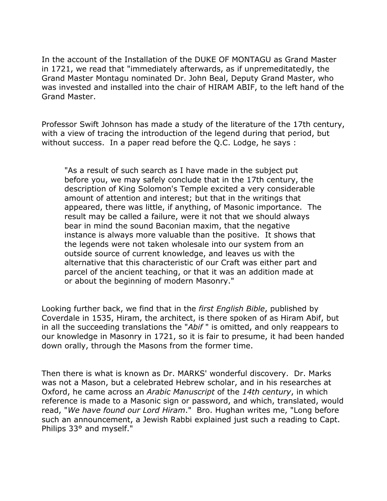In the account of the Installation of the DUKE OF MONTAGU as Grand Master in 1721, we read that "immediately afterwards, as if unpremeditatedly, the Grand Master Montagu nominated Dr. John Beal, Deputy Grand Master, who was invested and installed into the chair of HIRAM ABIF, to the left hand of the Grand Master.

Professor Swift Johnson has made a study of the literature of the 17th century, with a view of tracing the introduction of the legend during that period, but without success. In a paper read before the Q.C. Lodge, he says :

"As a result of such search as I have made in the subject put before you, we may safely conclude that in the 17th century, the description of King Solomon's Temple excited a very considerable amount of attention and interest; but that in the writings that appeared, there was little, if anything, of Masonic importance. The result may be called a failure, were it not that we should always bear in mind the sound Baconian maxim, that the negative instance is always more valuable than the positive. It shows that the legends were not taken wholesale into our system from an outside source of current knowledge, and leaves us with the alternative that this characteristic of our Craft was either part and parcel of the ancient teaching, or that it was an addition made at or about the beginning of modern Masonry."

Looking further back, we find that in the *first English Bible*, published by Coverdale in 1535, Hiram, the architect, is there spoken of as Hiram Abif, but in all the succeeding translations the "*Abif* " is omitted, and only reappears to our knowledge in Masonry in 1721, so it is fair to presume, it had been handed down orally, through the Masons from the former time.

Then there is what is known as Dr. MARKS' wonderful discovery. Dr. Marks was not a Mason, but a celebrated Hebrew scholar, and in his researches at Oxford, he came across an *Arabic Manuscript* of the *14th century*, in which reference is made to a Masonic sign or password, and which, translated, would read, "*We have found our Lord Hiram*." Bro. Hughan writes me, "Long before such an announcement, a Jewish Rabbi explained just such a reading to Capt. Philips 33° and myself."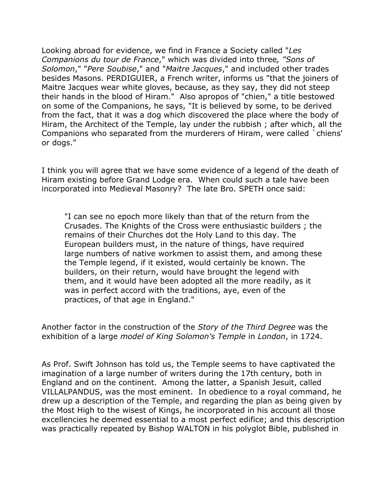Looking abroad for evidence, we find in France a Society called "*Les Companions du tour de France*," which was divided into three*, "Sons of Solomon*," "*Pere Soubise*," and "*Maitre Jacques*," and included other trades besides Masons. PERDIGUIER, a French writer, informs us "that the joiners of Maitre Jacques wear white gloves, because, as they say, they did not steep their hands in the blood of Hiram." Also apropos of "chien," a title bestowed on some of the Companions, he says, "It is believed by some, to be derived from the fact, that it was a dog which discovered the place where the body of Hiram, the Architect of the Temple, lay under the rubbish ; after which, all the Companions who separated from the murderers of Hiram, were called `chiens' or dogs."

I think you will agree that we have some evidence of a legend of the death of Hiram existing before Grand Lodge era. When could such a tale have been incorporated into Medieval Masonry? The late Bro. SPETH once said:

"I can see no epoch more likely than that of the return from the Crusades. The Knights of the Cross were enthusiastic builders ; the remains of their Churches dot the Holy Land to this day. The European builders must, in the nature of things, have required large numbers of native workmen to assist them, and among these the Temple legend, if it existed, would certainly be known. The builders, on their return, would have brought the legend with them, and it would have been adopted all the more readily, as it was in perfect accord with the traditions, aye, even of the practices, of that age in England."

Another factor in the construction of the *Story of the Third Degree* was the exhibition of a large *model of King Solomon's Temple* in *London*, in 1724.

As Prof. Swift Johnson has told us, the Temple seems to have captivated the imagination of a large number of writers during the 17th century, both in England and on the continent. Among the latter, a Spanish Jesuit, called VILLALPANDUS, was the most eminent. In obedience to a royal command, he drew up a description of the Temple, and regarding the plan as being given by the Most High to the wisest of Kings, he incorporated in his account all those excellencies he deemed essential to a most perfect edifice; and this description was practically repeated by Bishop WALTON in his polyglot Bible, published in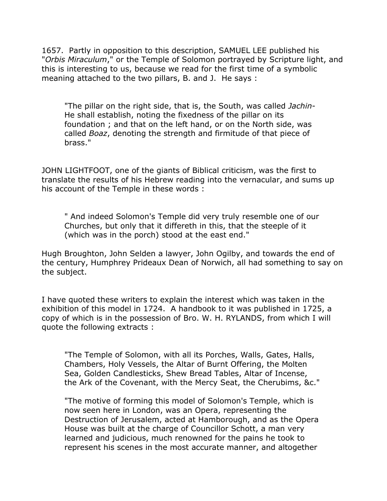1657. Partly in opposition to this description, SAMUEL LEE published his "*Orbis Miraculum*," or the Temple of Solomon portrayed by Scripture light, and this is interesting to us, because we read for the first time of a symbolic meaning attached to the two pillars, B. and J. He says :

"The pillar on the right side, that is, the South, was called *Jachin*-He shall establish, noting the fixedness of the pillar on its foundation ; and that on the left hand, or on the North side, was called *Boaz*, denoting the strength and firmitude of that piece of brass."

JOHN LIGHTFOOT, one of the giants of Biblical criticism, was the first to translate the results of his Hebrew reading into the vernacular, and sums up his account of the Temple in these words :

" And indeed Solomon's Temple did very truly resemble one of our Churches, but only that it differeth in this, that the steeple of it (which was in the porch) stood at the east end."

Hugh Broughton, John Selden a lawyer, John Ogilby, and towards the end of the century, Humphrey Prideaux Dean of Norwich, all had something to say on the subject.

I have quoted these writers to explain the interest which was taken in the exhibition of this model in 1724. A handbook to it was published in 1725, a copy of which is in the possession of Bro. W. H. RYLANDS, from which I will quote the following extracts :

"The Temple of Solomon, with all its Porches, Walls, Gates, Halls, Chambers, Holy Vessels, the Altar of Burnt Offering, the Molten Sea, Golden Candlesticks, Shew Bread Tables, Altar of Incense, the Ark of the Covenant, with the Mercy Seat, the Cherubims, &c."

"The motive of forming this model of Solomon's Temple, which is now seen here in London, was an Opera, representing the Destruction of Jerusalem, acted at Hamborough, and as the Opera House was built at the charge of Councillor Schott, a man very learned and judicious, much renowned for the pains he took to represent his scenes in the most accurate manner, and altogether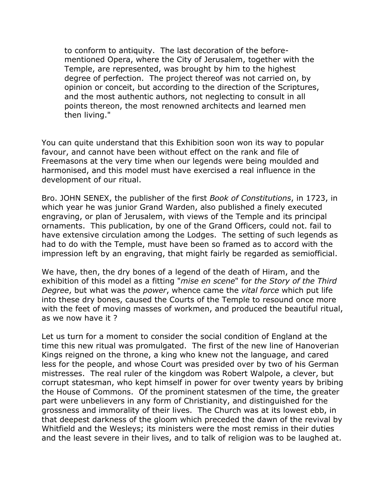to conform to antiquity. The last decoration of the beforementioned Opera, where the City of Jerusalem, together with the Temple, are represented, was brought by him to the highest degree of perfection. The project thereof was not carried on, by opinion or conceit, but according to the direction of the Scriptures, and the most authentic authors, not neglecting to consult in all points thereon, the most renowned architects and learned men then living."

You can quite understand that this Exhibition soon won its way to popular favour, and cannot have been without effect on the rank and file of Freemasons at the very time when our legends were being moulded and harmonised, and this model must have exercised a real influence in the development of our ritual.

Bro. JOHN SENEX, the publisher of the first *Book of Constitutions*, in 1723, in which year he was junior Grand Warden, also published a finely executed engraving, or plan of Jerusalem, with views of the Temple and its principal ornaments. This publication, by one of the Grand Officers, could not. fail to have extensive circulation among the Lodges. The setting of such legends as had to do with the Temple, must have been so framed as to accord with the impression left by an engraving, that might fairly be regarded as semiofficial.

We have, then, the dry bones of a legend of the death of Hiram, and the exhibition of this model as a fitting "*mise en scene*" for *the Story of the Third Degree*, but what was the *power*, whence came the *vital force* which put life into these dry bones, caused the Courts of the Temple to resound once more with the feet of moving masses of workmen, and produced the beautiful ritual, as we now have it ?

Let us turn for a moment to consider the social condition of England at the time this new ritual was promulgated. The first of the new line of Hanoverian Kings reigned on the throne, a king who knew not the language, and cared less for the people, and whose Court was presided over by two of his German mistresses. The real ruler of the kingdom was Robert Walpole, a clever, but corrupt statesman, who kept himself in power for over twenty years by bribing the House of Commons. Of the prominent statesmen of the time, the greater part were unbelievers in any form of Christianity, and distinguished for the grossness and immorality of their lives. The Church was at its lowest ebb, in that deepest darkness of the gloom which preceded the dawn of the revival by Whitfield and the Wesleys; its ministers were the most remiss in their duties and the least severe in their lives, and to talk of religion was to be laughed at.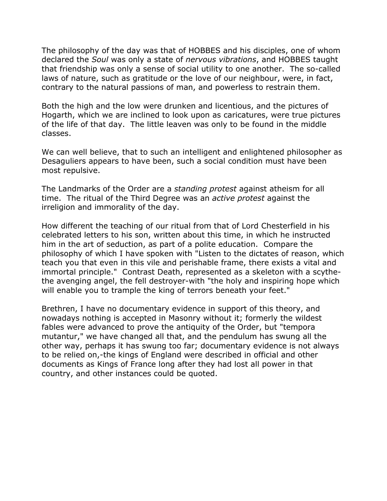The philosophy of the day was that of HOBBES and his disciples, one of whom declared the *Soul* was only a state of *nervous vibrations*, and HOBBES taught that friendship was only a sense of social utility to one another. The so-called laws of nature, such as gratitude or the love of our neighbour, were, in fact, contrary to the natural passions of man, and powerless to restrain them.

Both the high and the low were drunken and licentious, and the pictures of Hogarth, which we are inclined to look upon as caricatures, were true pictures of the life of that day. The little leaven was only to be found in the middle classes.

We can well believe, that to such an intelligent and enlightened philosopher as Desaguliers appears to have been, such a social condition must have been most repulsive.

The Landmarks of the Order are a *standing protest* against atheism for all time. The ritual of the Third Degree was an *active protest* against the irreligion and immorality of the day.

How different the teaching of our ritual from that of Lord Chesterfield in his celebrated letters to his son, written about this time, in which he instructed him in the art of seduction, as part of a polite education. Compare the philosophy of which I have spoken with "Listen to the dictates of reason, which teach you that even in this vile and perishable frame, there exists a vital and immortal principle." Contrast Death, represented as a skeleton with a scythethe avenging angel, the fell destroyer-with "the holy and inspiring hope which will enable you to trample the king of terrors beneath your feet."

Brethren, I have no documentary evidence in support of this theory, and nowadays nothing is accepted in Masonry without it; formerly the wildest fables were advanced to prove the antiquity of the Order, but "tempora mutantur," we have changed all that, and the pendulum has swung all the other way, perhaps it has swung too far; documentary evidence is not always to be relied on,-the kings of England were described in official and other documents as Kings of France long after they had lost all power in that country, and other instances could be quoted.